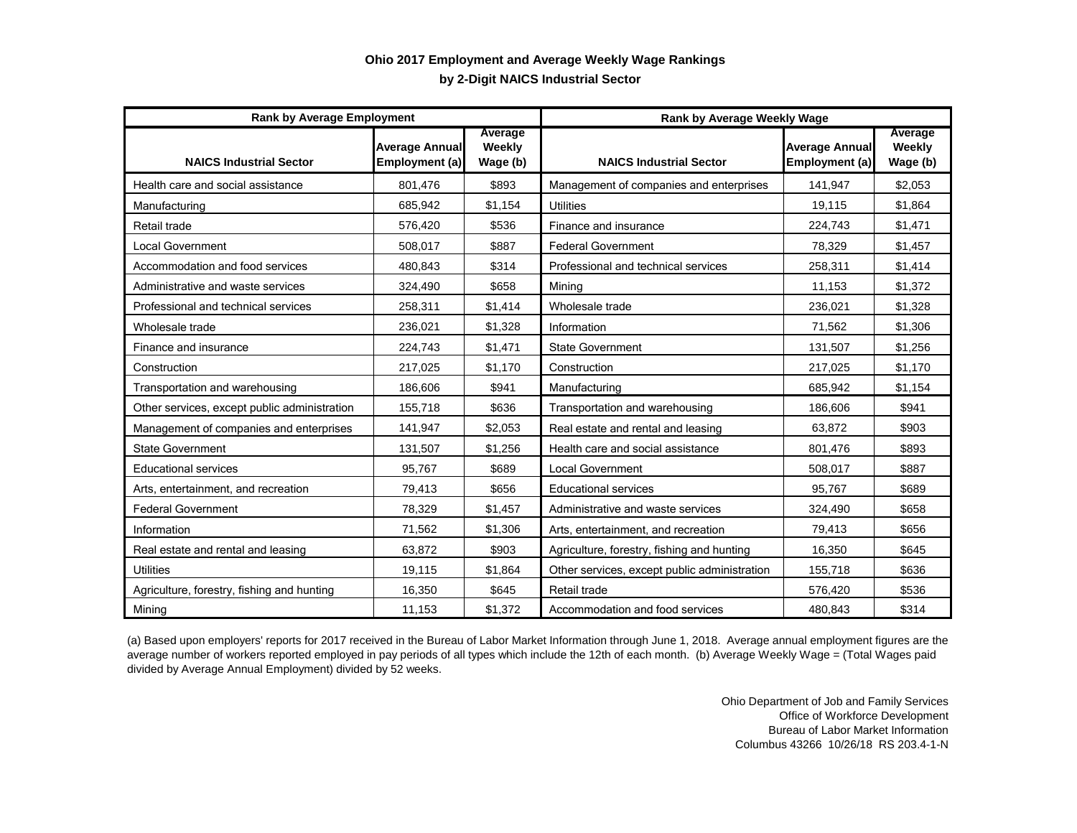## **by 2-Digit NAICS Industrial Sector Ohio 2017 Employment and Average Weekly Wage Rankings**

| <b>Rank by Average Employment</b>            |                                         |                               | <b>Rank by Average Weekly Wage</b>           |                                         |                               |
|----------------------------------------------|-----------------------------------------|-------------------------------|----------------------------------------------|-----------------------------------------|-------------------------------|
| <b>NAICS Industrial Sector</b>               | <b>Average Annual</b><br>Employment (a) | Average<br>Weekly<br>Wage (b) | <b>NAICS Industrial Sector</b>               | <b>Average Annual</b><br>Employment (a) | Average<br>Weekly<br>Wage (b) |
| Health care and social assistance            | 801,476                                 | \$893                         | Management of companies and enterprises      | 141,947                                 | \$2,053                       |
| Manufacturing                                | 685,942                                 | \$1,154                       | <b>Utilities</b>                             | 19,115                                  | \$1,864                       |
| Retail trade                                 | 576,420                                 | \$536                         | Finance and insurance                        | 224,743                                 | \$1,471                       |
| <b>Local Government</b>                      | 508,017                                 | \$887                         | <b>Federal Government</b>                    | 78,329                                  | \$1,457                       |
| Accommodation and food services              | 480,843                                 | \$314                         | Professional and technical services          | 258,311                                 | \$1,414                       |
| Administrative and waste services            | 324,490                                 | \$658                         | Mining                                       | 11,153                                  | \$1,372                       |
| Professional and technical services          | 258,311                                 | \$1,414                       | Wholesale trade                              | 236,021                                 | \$1,328                       |
| Wholesale trade                              | 236,021                                 | \$1,328                       | Information                                  | 71,562                                  | \$1,306                       |
| Finance and insurance                        | 224,743                                 | \$1,471                       | <b>State Government</b>                      | 131,507                                 | \$1,256                       |
| Construction                                 | 217,025                                 | \$1,170                       | Construction                                 | 217,025                                 | \$1,170                       |
| Transportation and warehousing               | 186,606                                 | \$941                         | Manufacturing                                | 685,942                                 | \$1,154                       |
| Other services, except public administration | 155,718                                 | \$636                         | Transportation and warehousing               | 186,606                                 | \$941                         |
| Management of companies and enterprises      | 141,947                                 | \$2,053                       | Real estate and rental and leasing           | 63,872                                  | \$903                         |
| <b>State Government</b>                      | 131,507                                 | \$1,256                       | Health care and social assistance            | 801,476                                 | \$893                         |
| <b>Educational services</b>                  | 95,767                                  | \$689                         | Local Government                             | 508,017                                 | \$887                         |
| Arts, entertainment, and recreation          | 79,413                                  | \$656                         | <b>Educational services</b>                  | 95,767                                  | \$689                         |
| <b>Federal Government</b>                    | 78,329                                  | \$1,457                       | Administrative and waste services            | 324,490                                 | \$658                         |
| Information                                  | 71,562                                  | \$1,306                       | Arts, entertainment, and recreation          | 79,413                                  | \$656                         |
| Real estate and rental and leasing           | 63,872                                  | \$903                         | Agriculture, forestry, fishing and hunting   | 16,350                                  | \$645                         |
| <b>Utilities</b>                             | 19,115                                  | \$1,864                       | Other services, except public administration | 155,718                                 | \$636                         |
| Agriculture, forestry, fishing and hunting   | 16,350                                  | \$645                         | Retail trade                                 | 576,420                                 | \$536                         |
| Mining                                       | 11,153                                  | \$1,372                       | Accommodation and food services              | 480,843                                 | \$314                         |

(a) Based upon employers' reports for 2017 received in the Bureau of Labor Market Information through June 1, 2018. Average annual employment figures are the average number of workers reported employed in pay periods of all types which include the 12th of each month. (b) Average Weekly Wage = (Total Wages paid divided by Average Annual Employment) divided by 52 weeks.

> Ohio Department of Job and Family Services Office of Workforce Development Bureau of Labor Market Information Columbus 43266 10/26/18 RS 203.4-1-N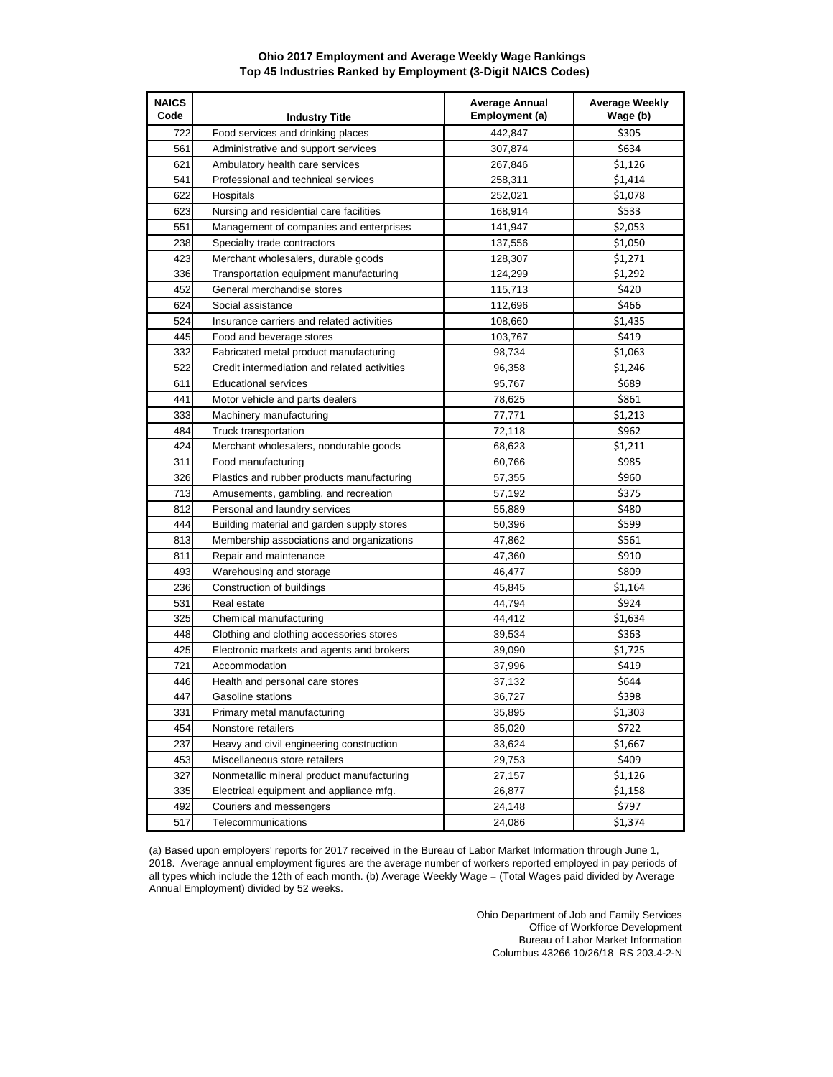## **Ohio 2017 Employment and Average Weekly Wage Rankings Top 45 Industries Ranked by Employment (3-Digit NAICS Codes)**

| <b>NAICS</b><br>Code | <b>Industry Title</b>                        | <b>Average Annual</b><br><b>Employment (a)</b> | <b>Average Weekly</b><br>Wage (b) |
|----------------------|----------------------------------------------|------------------------------------------------|-----------------------------------|
| 722                  | Food services and drinking places            | 442,847                                        | \$305                             |
| 561                  | Administrative and support services          | 307,874                                        | \$634                             |
| 621                  | Ambulatory health care services              | 267,846                                        | \$1,126                           |
| 541                  | Professional and technical services          | 258,311                                        | \$1,414                           |
| 622                  | Hospitals                                    | 252,021                                        | \$1,078                           |
| 623                  | Nursing and residential care facilities      | 168,914                                        | \$533                             |
| 551                  | Management of companies and enterprises      | 141,947                                        | \$2,053                           |
| 238                  | Specialty trade contractors                  | 137,556                                        | \$1,050                           |
| 423                  | Merchant wholesalers, durable goods          | 128,307                                        | \$1,271                           |
| 336                  | Transportation equipment manufacturing       | 124,299                                        | \$1,292                           |
| 452                  | General merchandise stores                   | 115,713                                        | \$420                             |
| 624                  | Social assistance                            | 112,696                                        | \$466                             |
| 524                  | Insurance carriers and related activities    | 108,660                                        | \$1,435                           |
| 445                  | Food and beverage stores                     | 103,767                                        | \$419                             |
| 332                  | Fabricated metal product manufacturing       | 98,734                                         | \$1,063                           |
| 522                  | Credit intermediation and related activities | 96,358                                         | \$1,246                           |
| 611                  | <b>Educational services</b>                  | 95,767                                         | \$689                             |
| 441                  | Motor vehicle and parts dealers              | 78,625                                         | \$861                             |
| 333                  | Machinery manufacturing                      | 77,771                                         | \$1,213                           |
| 484                  | Truck transportation                         | 72,118                                         | \$962                             |
| 424                  | Merchant wholesalers, nondurable goods       | 68,623                                         | \$1,211                           |
| 311                  | Food manufacturing                           | 60,766                                         | \$985                             |
| 326                  | Plastics and rubber products manufacturing   | 57,355                                         | \$960                             |
| 713                  | Amusements, gambling, and recreation         | 57,192                                         | \$375                             |
| 812                  | Personal and laundry services                | 55,889                                         | \$480                             |
| 444                  | Building material and garden supply stores   | 50,396                                         | \$599                             |
| 813                  | Membership associations and organizations    | 47,862                                         | \$561                             |
| 811                  | Repair and maintenance                       | 47,360                                         | \$910                             |
| 493                  | Warehousing and storage                      | 46,477                                         | \$809                             |
| 236                  | Construction of buildings                    | 45,845                                         | \$1,164                           |
| 531                  | Real estate                                  | 44,794                                         | \$924                             |
| 325                  | Chemical manufacturing                       | 44,412                                         | \$1,634                           |
| 448                  | Clothing and clothing accessories stores     | 39,534                                         | \$363                             |
| 425                  | Electronic markets and agents and brokers    | 39,090                                         | \$1,725                           |
| 721                  | Accommodation                                | 37,996                                         | \$419                             |
| 446                  | Health and personal care stores              | 37,132                                         | \$644                             |
| 447                  | Gasoline stations                            | 36,727                                         | \$398                             |
| 331                  | Primary metal manufacturing                  | 35,895                                         | \$1,303                           |
| 454                  | Nonstore retailers                           | 35,020                                         | \$722                             |
| 237                  | Heavy and civil engineering construction     | 33,624                                         | \$1,667                           |
| 453                  | Miscellaneous store retailers                | 29,753                                         | \$409                             |
| 327                  | Nonmetallic mineral product manufacturing    | 27,157                                         | \$1,126                           |
| 335                  | Electrical equipment and appliance mfg.      | 26,877                                         | \$1,158                           |
| 492                  | Couriers and messengers                      | 24,148                                         | \$797                             |
| 517                  | Telecommunications                           | 24,086                                         | \$1,374                           |

(a) Based upon employers' reports for 2017 received in the Bureau of Labor Market Information through June 1, 2018. Average annual employment figures are the average number of workers reported employed in pay periods of all types which include the 12th of each month. (b) Average Weekly Wage = (Total Wages paid divided by Average Annual Employment) divided by 52 weeks.

> Ohio Department of Job and Family Services Office of Workforce Development Bureau of Labor Market Information Columbus 43266 10/26/18 RS 203.4-2-N